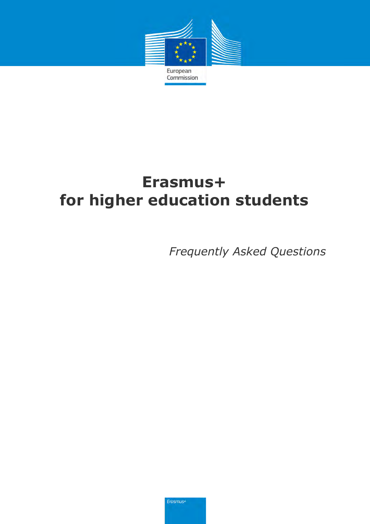

# **Erasmus+ for higher education students**

*Frequently Asked Questions*

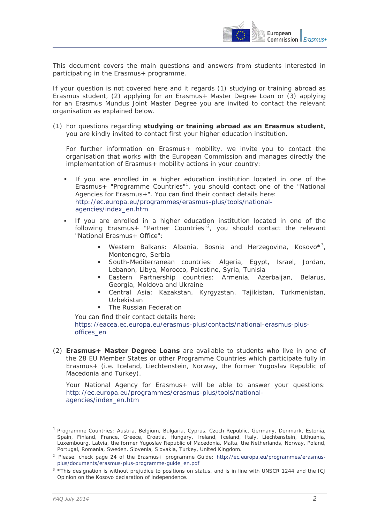

This document covers the main questions and answers from students interested in participating in the Erasmus+ programme.

If your question is not covered here and it regards (1) studying or training abroad as Erasmus student, (2) applying for an Erasmus+ Master Degree Loan or (3) applying for an Erasmus Mundus Joint Master Degree you are invited to contact the relevant organisation as explained below.

(1) For questions regarding **studying or training abroad as an Erasmus student**, you are kindly invited to contact first your higher education institution.

For further information on Erasmus+ mobility, we invite you to contact the organisation that works with the European Commission and manages directly the implementation of Erasmus+ mobility actions in your country:

- If you are enrolled in a higher education institution located in one of the Erasmus+ "Programme Countries"<sup>1</sup>, you should contact one of the "National Agencies for Erasmus+". You can find their contact details here: [http://ec.europa.eu/programmes/erasmus-plus/tools/national](http://ec.europa.eu/programmes/erasmus-plus/tools/national-agencies/index_en.htm)[agencies/index\\_en.htm](http://ec.europa.eu/programmes/erasmus-plus/tools/national-agencies/index_en.htm)
- If you are enrolled in a higher education institution located in one of the following Erasmus+ "Partner Countries"<sup>2</sup>, you should contact the relevant "National Erasmus+ Office":
	- **Western Balkans: Albania, Bosnia and Herzegovina, Kosovo\*3,** Montenegro, Serbia
	- South-Mediterranean countries: Algeria, Egypt, Israel, Jordan, Lebanon, Libya, Morocco, Palestine, Syria, Tunisia
	- Eastern Partnership countries: Armenia, Azerbaijan, Belarus, Georgia, Moldova and Ukraine
	- Central Asia: Kazakstan, Kyrgyzstan, Tajikistan, Turkmenistan, Uzbekistan
	- The Russian Federation

You can find their contact details here: https://eacea.ec.europa.eu/erasmus-plus/contacts/national-erasmus-plusoffices\_en

(2) **Erasmus+ Master Degree Loans** are available to students who live in one of the 28 EU Member States or other Programme Countries which participate fully in Erasmus+ (i.e. Iceland, Liechtenstein, Norway, the former Yugoslav Republic of Macedonia and Turkey).

Your National Agency for Erasmus+ will be able to answer your questions: [http://ec.europa.eu/programmes/erasmus-plus/tools/national](http://ec.europa.eu/programmes/erasmus-plus/tools/national-agencies/index_en.htm)[agencies/index\\_en.htm](http://ec.europa.eu/programmes/erasmus-plus/tools/national-agencies/index_en.htm)

 $\overline{a}$ 

<sup>1</sup> Programme Countries: Austria, Belgium, Bulgaria, Cyprus, Czech Republic, Germany, Denmark, Estonia, Spain, Finland, France, Greece, Croatia, Hungary, Ireland, Iceland, Italy, Liechtenstein, Lithuania, Luxembourg, Latvia, the former Yugoslav Republic of Macedonia, Malta, the Netherlands, Norway, Poland, Portugal, Romania, Sweden, Slovenia, Slovakia, Turkey, United Kingdom.

<sup>&</sup>lt;sup>2</sup> Please, check page 24 of the Erasmus+ programme Guide: [http://ec.europa.eu/programmes/erasmus](http://ec.europa.eu/programmes/erasmus-plus/documents/erasmus-plus-programme-guide_en.pdf)[plus/documents/erasmus-plus-programme-guide\\_en.pdf](http://ec.europa.eu/programmes/erasmus-plus/documents/erasmus-plus-programme-guide_en.pdf)

 $3 \times$ This designation is without prejudice to positions on status, and is in line with UNSCR 1244 and the ICJ Opinion on the Kosovo declaration of independence.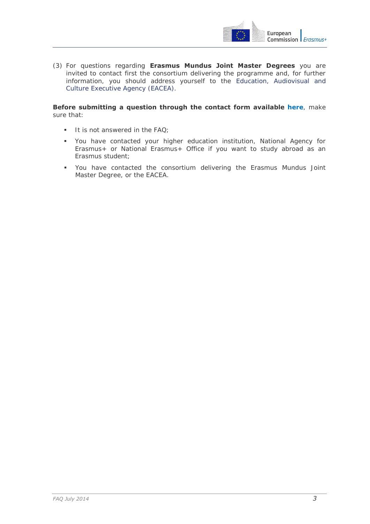

(3) For questions regarding **Erasmus Mundus Joint Master Degrees** you are invited to contact first the consortium delivering the programme and, for further information, you should address yourself to th[e Education, Audiovisual and](http://eacea.ec.europa.eu/erasmus-plus/contacts)  [Culture Executive Agency \(EACEA\).](http://eacea.ec.europa.eu/erasmus-plus/contacts)

#### **Before submitting a question through the contact [form](http://ec.europa.eu/education/contact/index_en.htm) available [here](http://ec.europa.eu/education/contact/index_en.htm)**, make sure that:

- $\blacksquare$  It is not answered in the FAQ;
- You have contacted your higher education institution, National Agency for Erasmus+ or National Erasmus+ Office if you want to study abroad as an Erasmus student;
- You have contacted the consortium delivering the Erasmus Mundus Joint Master Degree, or the EACEA.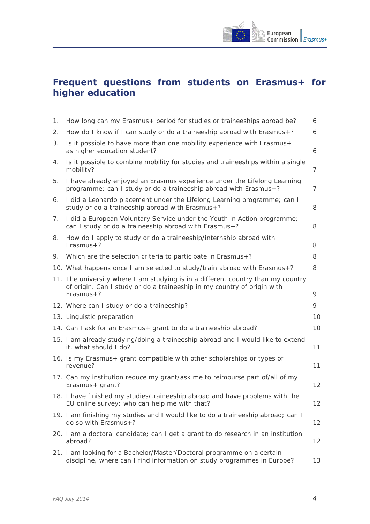

# **Frequent questions from students on Erasmus+ for higher education**

| 1. | How long can my Erasmus+ period for studies or traineeships abroad be?                                                                                                     | 6  |
|----|----------------------------------------------------------------------------------------------------------------------------------------------------------------------------|----|
| 2. | How do I know if I can study or do a traineeship abroad with Erasmus+?                                                                                                     | 6  |
| 3. | Is it possible to have more than one mobility experience with Erasmus+<br>as higher education student?                                                                     | 6  |
| 4. | Is it possible to combine mobility for studies and traineeships within a single<br>mobility?                                                                               | 7  |
| 5. | I have already enjoyed an Erasmus experience under the Lifelong Learning<br>programme; can I study or do a traineeship abroad with Erasmus+?                               | 7  |
| 6. | I did a Leonardo placement under the Lifelong Learning programme; can I<br>study or do a traineeship abroad with Erasmus+?                                                 | 8  |
| 7. | I did a European Voluntary Service under the Youth in Action programme;<br>can I study or do a traineeship abroad with Erasmus+?                                           | 8  |
| 8. | How do I apply to study or do a traineeship/internship abroad with<br>$Erasmus+?$                                                                                          | 8  |
| 9. | Which are the selection criteria to participate in Erasmus+?                                                                                                               | 8  |
|    | 10. What happens once I am selected to study/train abroad with Erasmus+?                                                                                                   | 8  |
|    | 11. The university where I am studying is in a different country than my country<br>of origin. Can I study or do a traineeship in my country of origin with<br>$Erasmus+?$ | 9  |
|    | 12. Where can I study or do a traineeship?                                                                                                                                 | 9  |
|    | 13. Linguistic preparation                                                                                                                                                 | 10 |
|    | 14. Can I ask for an Erasmus + grant to do a traineeship abroad?                                                                                                           | 10 |
|    | 15. I am already studying/doing a traineeship abroad and I would like to extend<br>it, what should I do?                                                                   | 11 |
|    | 16. Is my Erasmus+ grant compatible with other scholarships or types of<br>revenue?                                                                                        | 11 |
|    | 17. Can my institution reduce my grant/ask me to reimburse part of/all of my<br>Erasmus+ grant?                                                                            | 12 |
|    | 18. I have finished my studies/traineeship abroad and have problems with the<br>EU online survey; who can help me with that?                                               | 12 |
|    | 19. I am finishing my studies and I would like to do a traineeship abroad; can I<br>do so with Erasmus+?                                                                   | 12 |
|    | 20. I am a doctoral candidate; can I get a grant to do research in an institution<br>abroad?                                                                               | 12 |
|    | 21. I am looking for a Bachelor/Master/Doctoral programme on a certain<br>discipline, where can I find information on study programmes in Europe?                          | 13 |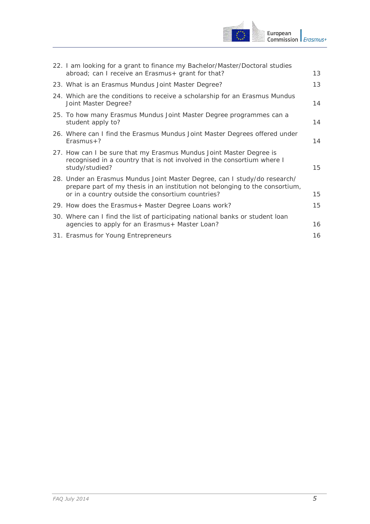

| 22. I am looking for a grant to finance my Bachelor/Master/Doctoral studies<br>abroad; can I receive an Erasmus+ grant for that?                                                                               | 13 |
|----------------------------------------------------------------------------------------------------------------------------------------------------------------------------------------------------------------|----|
| 23. What is an Erasmus Mundus Joint Master Degree?                                                                                                                                                             | 13 |
| 24. Which are the conditions to receive a scholarship for an Erasmus Mundus<br>Joint Master Degree?                                                                                                            | 14 |
| 25. To how many Erasmus Mundus Joint Master Degree programmes can a<br>student apply to?                                                                                                                       | 14 |
| 26. Where can I find the Erasmus Mundus Joint Master Degrees offered under<br>$Erasmus + ?$                                                                                                                    | 14 |
| 27. How can I be sure that my Erasmus Mundus Joint Master Degree is<br>recognised in a country that is not involved in the consortium where I<br>study/studied?                                                | 15 |
| 28. Under an Erasmus Mundus Joint Master Degree, can I study/do research/<br>prepare part of my thesis in an institution not belonging to the consortium,<br>or in a country outside the consortium countries? | 15 |
| 29. How does the Erasmus+ Master Degree Loans work?                                                                                                                                                            | 15 |
| 30. Where can I find the list of participating national banks or student loan<br>agencies to apply for an Erasmus+ Master Loan?                                                                                | 16 |
| 31. Erasmus for Young Entrepreneurs                                                                                                                                                                            | 16 |
|                                                                                                                                                                                                                |    |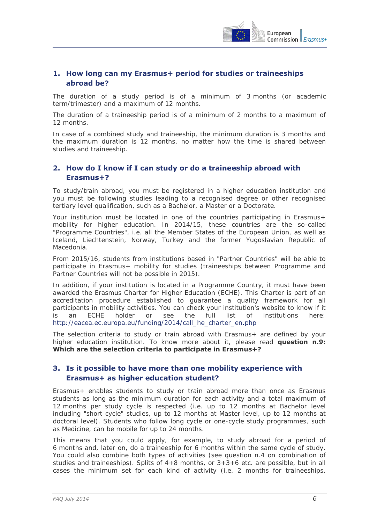

# <span id="page-5-0"></span>**1. How long can my Erasmus+ period for studies or traineeships abroad be?**

The duration of a study period is of a minimum of 3 months (or academic term/trimester) and a maximum of 12 months.

The duration of a traineeship period is of a minimum of 2 months to a maximum of 12 months.

In case of a combined study and traineeship, the minimum duration is 3 months and the maximum duration is 12 months, no matter how the time is shared between studies and traineeship.

# <span id="page-5-1"></span>**2. How do I know if I can study or do a traineeship abroad with Erasmus+?**

To study/train abroad, you must be registered in a higher education institution and you must be following studies leading to a recognised degree or other recognised tertiary level qualification, such as a Bachelor, a Master or a Doctorate.

Your institution must be located in one of the countries participating in Erasmus+ mobility for higher education. In 2014/15, these countries are the so-called "Programme Countries", i.e. all the Member States of the European Union, as well as Iceland, Liechtenstein, Norway, Turkey and the former Yugoslavian Republic of Macedonia.

From 2015/16, students from institutions based in "Partner Countries" will be able to participate in Erasmus+ mobility for studies (traineeships between Programme and Partner Countries will not be possible in 2015).

In addition, if your institution is located in a Programme Country, it must have been awarded the Erasmus Charter for Higher Education (ECHE). This Charter is part of an accreditation procedure established to guarantee a quality framework for all participants in mobility activities. You can check your institution's website to know if it is an ECHE holder or see the full list of institutions here: [http://eacea.ec.europa.eu/funding/2014/call\\_he\\_charter\\_en.php](http://eacea.ec.europa.eu/funding/2014/call_he_charter_en.php)

The selection criteria to study or train abroad with Erasmus+ are defined by your higher education institution. To know more about it, please read **question n.9: Which are the selection criteria to participate in Erasmus+?** 

#### <span id="page-5-2"></span>**3. Is it possible to have more than one mobility experience with Erasmus+ as higher education student?**

Erasmus+ enables students to study or train abroad more than once as Erasmus students as long as the minimum duration for each activity and a total maximum of 12 months per study cycle is respected (i.e. up to 12 months at Bachelor level including "short cycle" studies, up to 12 months at Master level, up to 12 months at doctoral level). Students who follow long cycle or one-cycle study programmes, such as Medicine, can be mobile for up to 24 months.

This means that you could apply, for example, to study abroad for a period of 6 months and, later on, do a traineeship for 6 months within the same cycle of study. You could also combine both types of activities (see question n.4 on combination of studies and traineeships). Splits of  $4+8$  months, or  $3+3+6$  etc. are possible, but in all cases the minimum set for each kind of activity (i.e. 2 months for traineeships,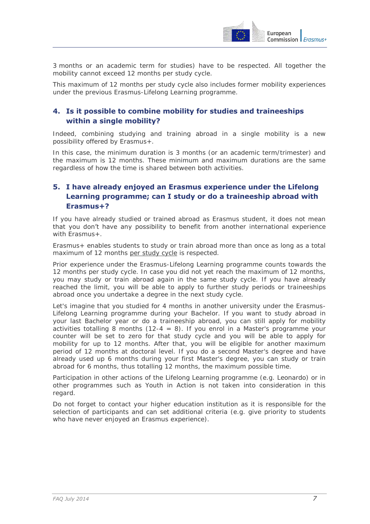

3 months or an academic term for studies) have to be respected. All together the mobility cannot exceed 12 months per study cycle.

This maximum of 12 months per study cycle also includes former mobility experiences under the previous Erasmus-Lifelong Learning programme.

# <span id="page-6-0"></span>**4. Is it possible to combine mobility for studies and traineeships within a single mobility?**

Indeed, combining studying and training abroad in a single mobility is a new possibility offered by Erasmus+.

In this case, the minimum duration is 3 months (or an academic term/trimester) and the maximum is 12 months. These minimum and maximum durations are the same regardless of how the time is shared between both activities.

# <span id="page-6-1"></span>**5. I have already enjoyed an Erasmus experience under the Lifelong Learning programme; can I study or do a traineeship abroad with Erasmus+?**

If you have already studied or trained abroad as Erasmus student, it does not mean that you don't have any possibility to benefit from another international experience with Erasmus+.

Erasmus+ enables students to study or train abroad more than once as long as a total maximum of 12 months per study cycle is respected.

Prior experience under the Erasmus-Lifelong Learning programme counts towards the 12 months per study cycle. In case you did not yet reach the maximum of 12 months, you may study or train abroad again in the same study cycle. If you have already reached the limit, you will be able to apply to further study periods or traineeships abroad once you undertake a degree in the next study cycle.

Let's imagine that you studied for 4 months in another university under the Erasmus-Lifelong Learning programme during your Bachelor. If you want to study abroad in your last Bachelor year or do a traineeship abroad, you can still apply for mobility activities totalling 8 months (12-4 = 8). If you enrol in a Master's programme your counter will be set to zero for that study cycle and you will be able to apply for mobility for up to 12 months. After that, you will be eligible for another maximum period of 12 months at doctoral level. If you do a second Master's degree and have already used up 6 months during your first Master's degree, you can study or train abroad for 6 months, thus totalling 12 months, the maximum possible time.

Participation in other actions of the Lifelong Learning programme (e.g. Leonardo) or in other programmes such as Youth in Action is not taken into consideration in this regard.

Do not forget to contact your higher education institution as it is responsible for the selection of participants and can set additional criteria (e.g. give priority to students who have never enjoyed an Erasmus experience).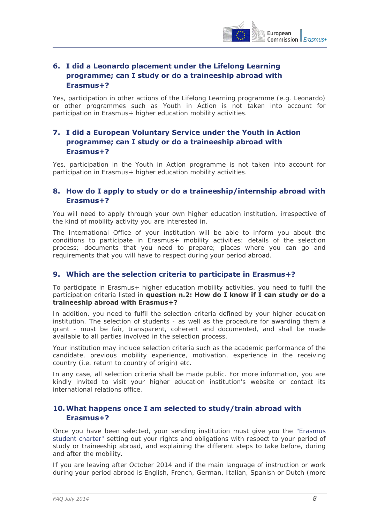

# <span id="page-7-0"></span>**6. I did a Leonardo placement under the Lifelong Learning programme; can I study or do a traineeship abroad with Erasmus+?**

Yes, participation in other actions of the Lifelong Learning programme (e.g. Leonardo) or other programmes such as Youth in Action is not taken into account for participation in Erasmus+ higher education mobility activities.

# <span id="page-7-1"></span>**7. I did a European Voluntary Service under the Youth in Action programme; can I study or do a traineeship abroad with Erasmus+?**

Yes, participation in the Youth in Action programme is not taken into account for participation in Erasmus+ higher education mobility activities.

# <span id="page-7-2"></span>**8. How do I apply to study or do a traineeship/internship abroad with Erasmus+?**

You will need to apply through your own higher education institution, irrespective of the kind of mobility activity you are interested in.

The International Office of your institution will be able to inform you about the conditions to participate in Erasmus+ mobility activities: details of the selection process; documents that you need to prepare; places where you can go and requirements that you will have to respect during your period abroad.

#### <span id="page-7-3"></span>**9. Which are the selection criteria to participate in Erasmus+?**

To participate in Erasmus+ higher education mobility activities, you need to fulfil the participation criteria listed in **question n.2: How do I know if I can study or do a traineeship abroad with Erasmus+?** 

In addition, you need to fulfil the selection criteria defined by your higher education institution. The selection of students - as well as the procedure for awarding them a grant - must be fair, transparent, coherent and documented, and shall be made available to all parties involved in the selection process.

Your institution may include selection criteria such as the academic performance of the candidate, previous mobility experience, motivation, experience in the receiving country (i.e. return to country of origin) etc.

In any case, all selection criteria shall be made public. For more information, you are kindly invited to visit your higher education institution's website or contact its international relations office.

#### <span id="page-7-4"></span>**10.What happens once I am selected to study/train abroad with Erasmus+?**

Once you have been selected, your sending institution must give you the ["Erasmus](http://ec.europa.eu/education/opportunities/higher-education/quality-framework_en.htm#charter)  [student charter"](http://ec.europa.eu/education/opportunities/higher-education/quality-framework_en.htm#charter) setting out your rights and obligations with respect to your period of study or traineeship abroad, and explaining the different steps to take before, during and after the mobility.

If you are leaving after October 2014 and if the main language of instruction or work during your period abroad is English, French, German, Italian, Spanish or Dutch (more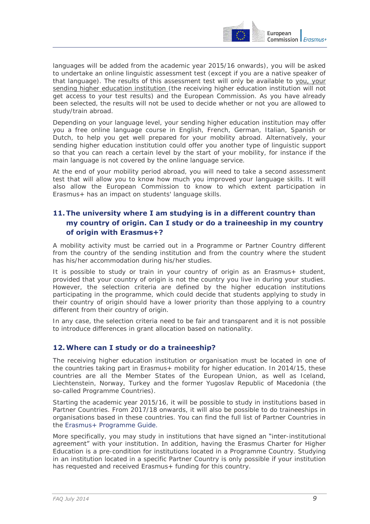

languages will be added from the academic year 2015/16 onwards), you will be asked to undertake an online linguistic assessment test (except if you are a native speaker of that language). The results of this assessment test will only be available to you, your sending higher education institution (the receiving higher education institution will not get access to your test results) and the European Commission. As you have already been selected, the results will not be used to decide whether or not you are allowed to study/train abroad.

Depending on your language level, your sending higher education institution may offer you a free online language course in English, French, German, Italian, Spanish or Dutch, to help you get well prepared for your mobility abroad. Alternatively, your sending higher education institution could offer you another type of linguistic support so that you can reach a certain level by the start of your mobility, for instance if the main language is not covered by the online language service.

At the end of your mobility period abroad, you will need to take a second assessment test that will allow you to know how much you improved your language skills. It will also allow the European Commission to know to which extent participation in Erasmus+ has an impact on students' language skills.

# <span id="page-8-0"></span>**11.The university where I am studying is in a different country than my country of origin. Can I study or do a traineeship in my country of origin with Erasmus+?**

A mobility activity must be carried out in a Programme or Partner Country different from the country of the sending institution and from the country where the student has his/her accommodation during his/her studies.

It is possible to study or train in your country of origin as an Erasmus+ student, provided that your country of origin is not the country you live in during your studies. However, the selection criteria are defined by the higher education institutions participating in the programme, which could decide that students applying to study in their country of origin should have a lower priority than those applying to a country different from their country of origin.

In any case, the selection criteria need to be fair and transparent and it is not possible to introduce differences in grant allocation based on nationality.

#### <span id="page-8-1"></span>**12.Where can I study or do a traineeship?**

The receiving higher education institution or organisation must be located in one of the countries taking part in Erasmus+ mobility for higher education. In 2014/15, these countries are all the Member States of the European Union, as well as Iceland, Liechtenstein, Norway, Turkey and the former Yugoslav Republic of Macedonia (the so-called Programme Countries).

Starting the academic year 2015/16, it will be possible to study in institutions based in Partner Countries. From 2017/18 onwards, it will also be possible to do traineeships in organisations based in these countries. You can find the full list of Partner Countries in the [Erasmus+ Programme Guide.](http://ec.europa.eu/programmes/erasmus-plus/index_en.htm#hp_guide)

More specifically, you may study in institutions that have signed an "inter-institutional agreement" with your institution. In addition, having the Erasmus Charter for Higher Education is a pre-condition for institutions located in a Programme Country. Studying in an institution located in a specific Partner Country is only possible if your institution has requested and received Erasmus+ funding for this country.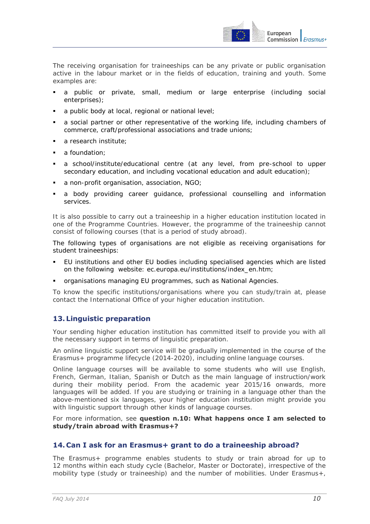

The receiving organisation for traineeships can be any private or public organisation active in the labour market or in the fields of education, training and youth. Some examples are:

- a public or private, small, medium or large enterprise (including social enterprises);
- a public body at local, regional or national level;
- a social partner or other representative of the working life, including chambers of commerce, craft/professional associations and trade unions;
- a research institute;
- a foundation:
- a school/institute/educational centre (at any level, from pre-school to upper secondary education, and including vocational education and adult education);
- a non-profit organisation, association, NGO;
- a body providing career guidance, professional counselling and information services.

It is also possible to carry out a traineeship in a higher education institution located in one of the Programme Countries. However, the programme of the traineeship cannot consist of following courses (that is a period of study abroad).

The following types of organisations are not eligible as receiving organisations for student traineeships:

- EU institutions and other EU bodies including specialised agencies which are listed on the following website: ec.europa.eu/institutions/index\_en.htm;
- organisations managing EU programmes, such as National Agencies.

To know the specific institutions/organisations where you can study/train at, please contact the International Office of your higher education institution.

#### <span id="page-9-0"></span>**13. Linguistic preparation**

Your sending higher education institution has committed itself to provide you with all the necessary support in terms of linguistic preparation.

An online linguistic support service will be gradually implemented in the course of the Erasmus+ programme lifecycle (2014-2020), including online language courses.

Online language courses will be available to some students who will use English, French, German, Italian, Spanish or Dutch as the main language of instruction/work during their mobility period. From the academic year 2015/16 onwards, more languages will be added. If you are studying or training in a language other than the above-mentioned six languages, your higher education institution might provide you with linguistic support through other kinds of language courses.

For more information, see **question n.10: What happens once I am selected to study/train abroad with Erasmus+?** 

#### <span id="page-9-1"></span>**14. Can I ask for an Erasmus+ grant to do a traineeship abroad?**

The Erasmus+ programme enables students to study or train abroad for up to 12 months within each study cycle (Bachelor, Master or Doctorate), irrespective of the mobility type (study or traineeship) and the number of mobilities. Under Erasmus+,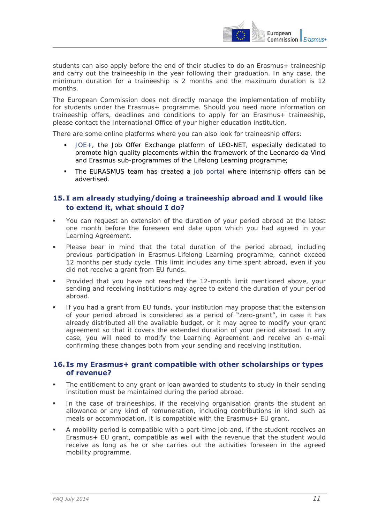

students can also apply before the end of their studies to do an Erasmus+ traineeship and carry out the traineeship in the year following their graduation. In any case, the minimum duration for a traineeship is 2 months and the maximum duration is 12 months.

The European Commission does not directly manage the implementation of mobility for students under the Erasmus+ programme. Should you need more information on traineeship offers, deadlines and conditions to apply for an Erasmus+ traineeship, please contact the International Office of your higher education institution.

There are some online platforms where you can also look for traineeship offers:

- [JOE+,](https://leonet.joeplus.org/en/) the Job Offer Exchange platform of LEO-NET, especially dedicated to promote high quality placements within the framework of the Leonardo da Vinci and Erasmus sub-programmes of the Lifelong Learning programme;
- The EURASMUS team has created a [job portal](http://eurasmus.com/en/) where internship offers can be advertised.

#### <span id="page-10-0"></span>**15. I am already studying/doing a traineeship abroad and I would like to extend it, what should I do?**

- You can request an extension of the duration of your period abroad at the latest one month before the foreseen end date upon which you had agreed in your Learning Agreement.
- Please bear in mind that the total duration of the period abroad, including previous participation in Erasmus-Lifelong Learning programme, cannot exceed 12 months per study cycle. This limit includes any time spent abroad, even if you did not receive a grant from EU funds.
- Provided that you have not reached the 12-month limit mentioned above, your sending and receiving institutions may agree to extend the duration of your period abroad.
- If you had a grant from EU funds, your institution may propose that the extension of your period abroad is considered as a period of "zero-grant", in case it has already distributed all the available budget, or it may agree to modify your grant agreement so that it covers the extended duration of your period abroad. In any case, you will need to modify the Learning Agreement and receive an e-mail confirming these changes both from your sending and receiving institution.

#### <span id="page-10-1"></span>**16. Is my Erasmus+ grant compatible with other scholarships or types of revenue?**

- The entitlement to any grant or loan awarded to students to study in their sending institution must be maintained during the period abroad.
- In the case of traineeships, if the receiving organisation grants the student an allowance or any kind of remuneration, including contributions in kind such as meals or accommodation, it is compatible with the Erasmus+ EU grant.
- A mobility period is compatible with a part-time job and, if the student receives an Erasmus+ EU grant, compatible as well with the revenue that the student would receive as long as he or she carries out the activities foreseen in the agreed mobility programme.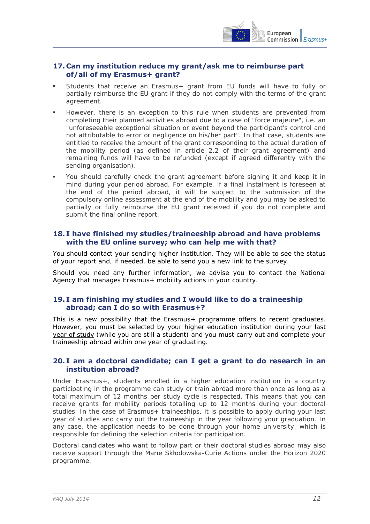

#### <span id="page-11-0"></span>**17. Can my institution reduce my grant/ask me to reimburse part of/all of my Erasmus+ grant?**

- Students that receive an Erasmus+ grant from EU funds will have to fully or partially reimburse the EU grant if they do not comply with the terms of the grant agreement.
- However, there is an exception to this rule when students are prevented from completing their planned activities abroad due to a case of "force majeure", i.e. an "unforeseeable exceptional situation or event beyond the participant's control and not attributable to error or negligence on his/her part". In that case, students are entitled to receive the amount of the grant corresponding to the actual duration of the mobility period (as defined in article 2.2 of their grant agreement) and remaining funds will have to be refunded (except if agreed differently with the sending organisation).
- You should carefully check the grant agreement before signing it and keep it in mind during your period abroad. For example, if a final instalment is foreseen at the end of the period abroad, it will be subject to the submission of the compulsory online assessment at the end of the mobility and you may be asked to partially or fully reimburse the EU grant received if you do not complete and submit the final online report.

#### <span id="page-11-1"></span>**18. I have finished my studies/traineeship abroad and have problems with the EU online survey; who can help me with that?**

You should contact your sending higher institution. They will be able to see the status of your report and, if needed, be able to send you a new link to the survey.

Should you need any further information, we advise you to contact the National Agency that manages Erasmus+ mobility actions in your country.

#### <span id="page-11-2"></span>**19. I am finishing my studies and I would like to do a traineeship abroad; can I do so with Erasmus+?**

This is a new possibility that the Erasmus+ programme offers to recent graduates. However, you must be selected by your higher education institution during your last year of study (while you are still a student) and you must carry out and complete your traineeship abroad within one year of graduating.

#### <span id="page-11-3"></span>**20. I am a doctoral candidate; can I get a grant to do research in an institution abroad?**

Under Erasmus+, students enrolled in a higher education institution in a country participating in the programme can study or train abroad more than once as long as a total maximum of 12 months per study cycle is respected. This means that you can receive grants for mobility periods totalling up to 12 months during your doctoral studies. In the case of Erasmus+ traineeships, it is possible to apply during your last year of studies and carry out the traineeship in the year following your graduation. In any case, the application needs to be done through your home university, which is responsible for defining the selection criteria for participation.

Doctoral candidates who want to follow part or their doctoral studies abroad may also receive support through the Marie Skłodowska-Curie Actions under the Horizon 2020 programme.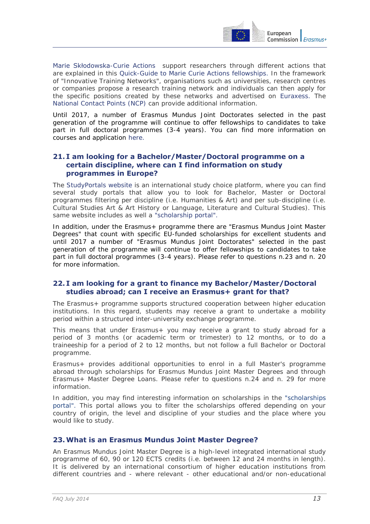

[Marie Skłodowska](http://ec.europa.eu/research/mariecurieactions/about-msca/actions/index_en.htm)-Curie Actions support researchers through different actions that are explained in this [Quick-Guide to Marie Curie Actions fellowships.](http://ec.europa.eu/research/mariecurieactions/about-mca/quick-guide/index_en.htm) In the framework of "Innovative Training Networks", organisations such as universities, research centres or companies propose a research training network and individuals can then apply for the specific positions created by these networks and advertised on [Euraxess.](http://ec.europa.eu/euraxess/) The [National Contact Points \(NCP\)](http://ec.europa.eu/research/participants/portal/desktop/en/support/national_contact_points.html) can provide additional information.

Until 2017, a number of [Erasmus Mundus Joint Doctorates](http://eacea.ec.europa.eu/erasmus_mundus/results_compendia/selected_projects_action_1_joint_doctorates_en.php) selected in the past generation of the programme will continue to offer fellowships to candidates to take part in full doctoral programmes (3-4 years). You can find more information on courses and application [here.](http://eacea.ec.europa.eu/erasmus_mundus/results_compendia/selected_projects_action_1_joint_doctorates_en.php#fragment-1)

#### <span id="page-12-0"></span>**21. I am looking for a Bachelor/Master/Doctoral programme on a certain discipline, where can I find information on study programmes in Europe?**

The [StudyPortals website](http://www.studyportals.eu/about/) is an international study choice platform, where you can find several study portals that allow you to look for Bachelor, Master or Doctoral programmes filtering per discipline (i.e. Humanities & Art) and per sub-discipline (i.e. Cultural Studies Art & Art History or Language, Literature and Cultural Studies). This same website includes as well a ["scholarship portal".](http://www.scholarshipportal.eu/)

In addition, under the Erasmus+ programme there are "Erasmus Mundus Joint Master Degrees" that count with specific EU-funded scholarships for excellent students and until 2017 a number of ["Erasmus Mundus Joint Doctorates"](http://eacea.ec.europa.eu/erasmus_mundus/results_compendia/selected_projects_action_1_joint_doctorates_en.php) selected in the past generation of the programme will continue to offer fellowships to candidates to take part in full doctoral programmes (3-4 years). Please refer to questions n.23 and n. 20 for more information.

#### <span id="page-12-1"></span>**22. I am looking for a grant to finance my Bachelor/Master/Doctoral studies abroad; can I receive an Erasmus+ grant for that?**

The Erasmus+ programme supports structured cooperation between higher education institutions. In this regard, students may receive a grant to undertake a mobility period within a structured inter-university exchange programme.

This means that under Erasmus+ you may receive a grant to study abroad for a period of 3 months (or academic term or trimester) to 12 months, or to do a traineeship for a period of 2 to 12 months, but not follow a full Bachelor or Doctoral programme.

Erasmus+ provides additional opportunities to enrol in a full Master's programme abroad through scholarships for Erasmus Mundus Joint Master Degrees and through Erasmus+ Master Degree Loans. Please refer to questions n.24 and n. 29 for more information.

In addition, you may find interesting information on scholarships in the ["scholarships](http://www.scholarshipportal.eu/#basic)  [portal"](http://www.scholarshipportal.eu/#basic). This portal allows you to filter the scholarships offered depending on your country of origin, the level and discipline of your studies and the place where you would like to study.

#### <span id="page-12-2"></span>**23.What is an Erasmus Mundus Joint Master Degree?**

An Erasmus Mundus Joint Master Degree is a high-level integrated international study programme of 60, 90 or 120 ECTS credits (i.e. between 12 and 24 months in length). It is delivered by an international consortium of higher education institutions from different countries and - where relevant - other educational and/or non-educational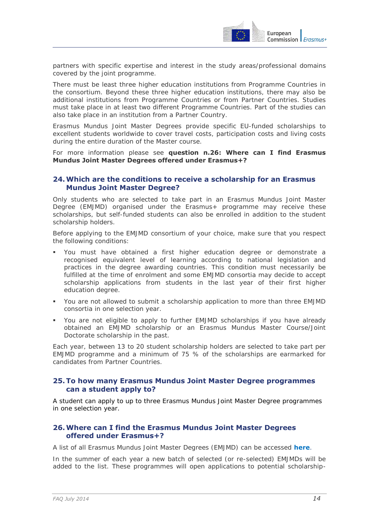

partners with specific expertise and interest in the study areas/professional domains covered by the joint programme.

There must be least three higher education institutions from Programme Countries in the consortium. Beyond these three higher education institutions, there may also be additional institutions from Programme Countries or from Partner Countries. Studies must take place in at least two different Programme Countries. Part of the studies can also take place in an institution from a Partner Country.

Erasmus Mundus Joint Master Degrees provide specific EU-funded scholarships to excellent students worldwide to cover travel costs, participation costs and living costs during the entire duration of the Master course.

For more information please see **question n.26: Where can I find Erasmus Mundus Joint Master Degrees offered under Erasmus+?**

#### <span id="page-13-0"></span>**24.Which are the conditions to receive a scholarship for an Erasmus Mundus Joint Master Degree?**

Only students who are selected to take part in an Erasmus Mundus Joint Master Degree (EMJMD) organised under the Erasmus+ programme may receive these scholarships, but self-funded students can also be enrolled in addition to the student scholarship holders.

Before applying to the EMJMD consortium of your choice, make sure that you respect the following conditions:

- You must have obtained a first higher education degree or demonstrate a recognised equivalent level of learning according to national legislation and practices in the degree awarding countries. This condition must necessarily be fulfilled at the time of enrolment and some EMJMD consortia may decide to accept scholarship applications from students in the last year of their first higher education degree.
- You are not allowed to submit a scholarship application to more than three EMJMD consortia in one selection year.
- You are not eligible to apply to further EMJMD scholarships if you have already obtained an EMJMD scholarship or an Erasmus Mundus Master Course/Joint Doctorate scholarship in the past.

Each year, between 13 to 20 student scholarship holders are selected to take part per EMJMD programme and a minimum of 75 % of the scholarships are earmarked for candidates from Partner Countries.

#### <span id="page-13-1"></span>**25.To how many Erasmus Mundus Joint Master Degree programmes can a student apply to?**

A student can apply to up to three Erasmus Mundus Joint Master Degree programmes in one selection year.

#### <span id="page-13-2"></span>**26.Where can I find the Erasmus Mundus Joint Master Degrees offered under Erasmus+?**

A list of all Erasmus Mundus Joint Master Degrees (EMJMD) can be accessed **[here](http://eacea.ec.europa.eu/erasmus_mundus/results_compendia/selected_projects_action_1_master_courses_en.php)**.

In the summer of each year a new batch of selected (or re-selected) EMJMDs will be added to the list. These programmes will open applications to potential scholarship-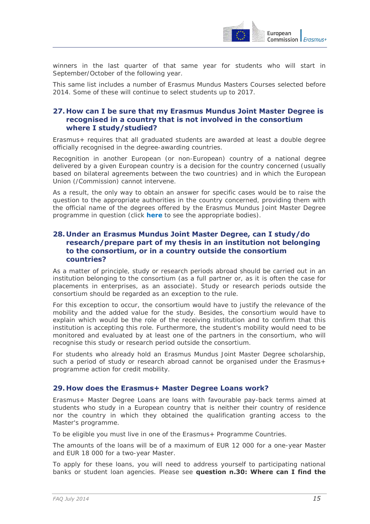

winners in the last quarter of that same year for students who will start in September/October of the following year.

This same list includes a number of Erasmus Mundus Masters Courses selected before 2014. Some of these will continue to select students up to 2017.

#### <span id="page-14-0"></span>**27. How can I be sure that my Erasmus Mundus Joint Master Degree is recognised in a country that is not involved in the consortium where I study/studied?**

Erasmus+ requires that all graduated students are awarded at least a double degree officially recognised in the degree-awarding countries.

Recognition in another European (or non-European) country of a national degree delivered by a given European country is a decision for the country concerned (usually based on bilateral agreements between the two countries) and in which the European Union (/Commission) cannot intervene.

As a result, the only way to obtain an answer for specific cases would be to raise the question to the appropriate authorities in the country concerned, providing them with the official name of the degrees offered by the Erasmus Mundus Joint Master Degree programme in question (click **[here](http://www.enic-naric.net/)** to see the appropriate bodies).

#### <span id="page-14-1"></span>**28. Under an Erasmus Mundus Joint Master Degree, can I study/do research/prepare part of my thesis in an institution not belonging to the consortium, or in a country outside the consortium countries?**

As a matter of principle, study or research periods abroad should be carried out in an institution belonging to the consortium (as a full partner or, as it is often the case for placements in enterprises, as an associate). Study or research periods outside the consortium should be regarded as an exception to the rule.

For this exception to occur, the consortium would have to justify the relevance of the mobility and the added value for the study. Besides, the consortium would have to explain which would be the role of the receiving institution and to confirm that this institution is accepting this role. Furthermore, the student's mobility would need to be monitored and evaluated by at least one of the partners in the consortium, who will recognise this study or research period outside the consortium.

For students who already hold an Erasmus Mundus Joint Master Degree scholarship, such a period of study or research abroad cannot be organised under the Erasmus+ programme action for credit mobility.

#### <span id="page-14-2"></span>**29. How does the Erasmus+ Master Degree Loans work?**

Erasmus+ Master Degree Loans are loans with favourable pay-back terms aimed at students who study in a European country that is neither their country of residence nor the country in which they obtained the qualification granting access to the Master's programme.

To be eligible you must live in one of the Erasmus+ Programme Countries.

The amounts of the loans will be of a maximum of EUR 12 000 for a one-year Master and EUR 18 000 for a two-year Master.

To apply for these loans, you will need to address yourself to participating national banks or student loan agencies. Please see **question n.30: Where can I find the**